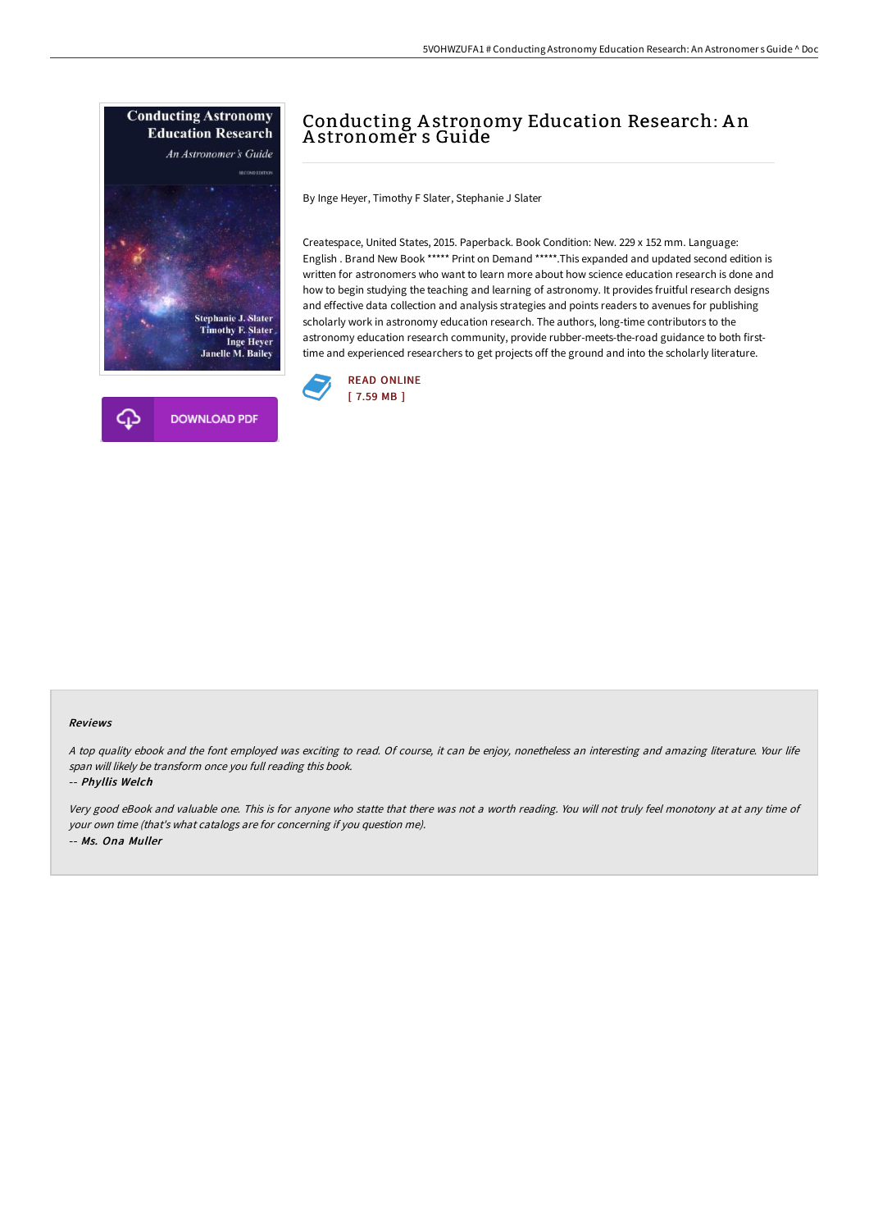



# Conducting Astronomy Education Research: An A stronomer s Guide

By Inge Heyer, Timothy F Slater, Stephanie J Slater

Createspace, United States, 2015. Paperback. Book Condition: New. 229 x 152 mm. Language: English . Brand New Book \*\*\*\*\* Print on Demand \*\*\*\*\*.This expanded and updated second edition is written for astronomers who want to learn more about how science education research is done and how to begin studying the teaching and learning of astronomy. It provides fruitful research designs and effective data collection and analysis strategies and points readers to avenues for publishing scholarly work in astronomy education research. The authors, long-time contributors to the astronomy education research community, provide rubber-meets-the-road guidance to both firsttime and experienced researchers to get projects off the ground and into the scholarly literature.



#### Reviews

<sup>A</sup> top quality ebook and the font employed was exciting to read. Of course, it can be enjoy, nonetheless an interesting and amazing literature. Your life span will likely be transform once you full reading this book.

-- Phyllis Welch

Very good eBook and valuable one. This is for anyone who statte that there was not <sup>a</sup> worth reading. You will not truly feel monotony at at any time of your own time (that's what catalogs are for concerning if you question me). -- Ms. Ona Muller